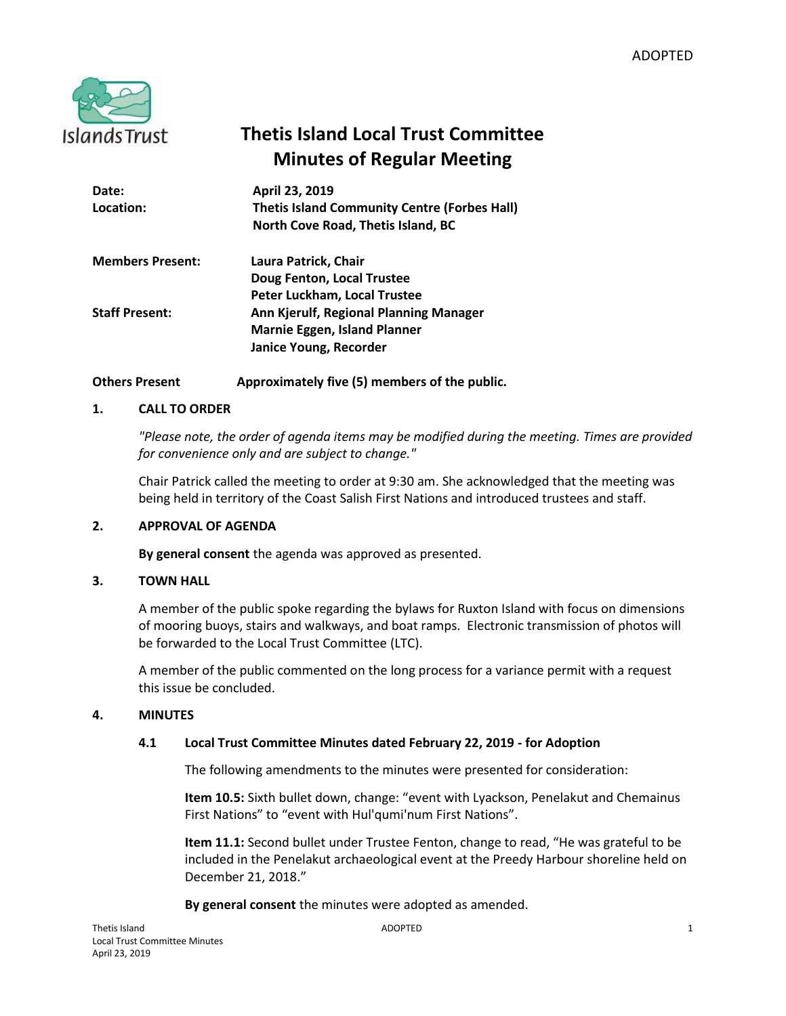

# **Thetis Island Local Trust Committee Minutes of Regular Meeting**

| Date:                   | April 23, 2019                                      |
|-------------------------|-----------------------------------------------------|
| Location:               | <b>Thetis Island Community Centre (Forbes Hall)</b> |
|                         | North Cove Road, Thetis Island, BC                  |
| <b>Members Present:</b> | Laura Patrick, Chair                                |
|                         | Doug Fenton, Local Trustee                          |
|                         | Peter Luckham, Local Trustee                        |
| <b>Staff Present:</b>   | Ann Kjerulf, Regional Planning Manager              |
|                         | <b>Marnie Eggen, Island Planner</b>                 |
|                         | Janice Young, Recorder                              |

## **Others Present Approximately five (5) members of the public.**

## **1. CALL TO ORDER**

*"Please note, the order of agenda items may be modified during the meeting. Times are provided for convenience only and are subject to change."*

Chair Patrick called the meeting to order at 9:30 am. She acknowledged that the meeting was being held in territory of the Coast Salish First Nations and introduced trustees and staff.

## **2. APPROVAL OF AGENDA**

**By general consent** the agenda was approved as presented.

## **3. TOWN HALL**

A member of the public spoke regarding the bylaws for Ruxton Island with focus on dimensions of mooring buoys, stairs and walkways, and boat ramps. Electronic transmission of photos will be forwarded to the Local Trust Committee (LTC).

A member of the public commented on the long process for a variance permit with a request this issue be concluded.

## **4. MINUTES**

## **4.1 Local Trust Committee Minutes dated February 22, 2019 - for Adoption**

The following amendments to the minutes were presented for consideration:

**Item 10.5:** Sixth bullet down, change: "event with Lyackson, Penelakut and Chemainus First Nations" to "event with Hul'qumi'num First Nations".

**Item 11.1:** Second bullet under Trustee Fenton, change to read, "He was grateful to be included in the Penelakut archaeological event at the Preedy Harbour shoreline held on December 21, 2018."

**By general consent** the minutes were adopted as amended.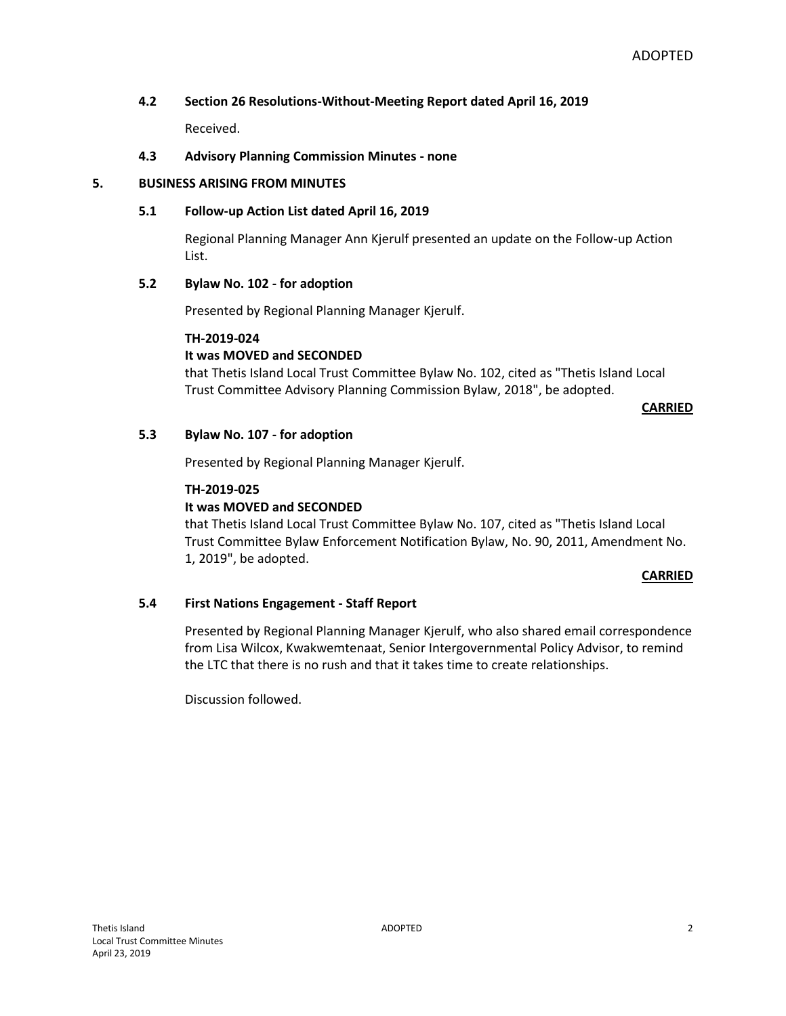## **4.2 Section 26 Resolutions-Without-Meeting Report dated April 16, 2019**

Received.

### **4.3 Advisory Planning Commission Minutes - none**

#### **5. BUSINESS ARISING FROM MINUTES**

#### **5.1 Follow-up Action List dated April 16, 2019**

Regional Planning Manager Ann Kjerulf presented an update on the Follow-up Action List.

## **5.2 Bylaw No. 102 - for adoption**

Presented by Regional Planning Manager Kjerulf.

#### **TH-2019-024**

## **It was MOVED and SECONDED**

that Thetis Island Local Trust Committee Bylaw No. 102, cited as "Thetis Island Local Trust Committee Advisory Planning Commission Bylaw, 2018", be adopted.

#### **CARRIED**

#### **5.3 Bylaw No. 107 - for adoption**

Presented by Regional Planning Manager Kjerulf.

#### **TH-2019-025**

## **It was MOVED and SECONDED**

that Thetis Island Local Trust Committee Bylaw No. 107, cited as "Thetis Island Local Trust Committee Bylaw Enforcement Notification Bylaw, No. 90, 2011, Amendment No. 1, 2019", be adopted.

#### **CARRIED**

#### **5.4 First Nations Engagement - Staff Report**

Presented by Regional Planning Manager Kjerulf, who also shared email correspondence from Lisa Wilcox, Kwakwemtenaat, Senior Intergovernmental Policy Advisor, to remind the LTC that there is no rush and that it takes time to create relationships.

Discussion followed.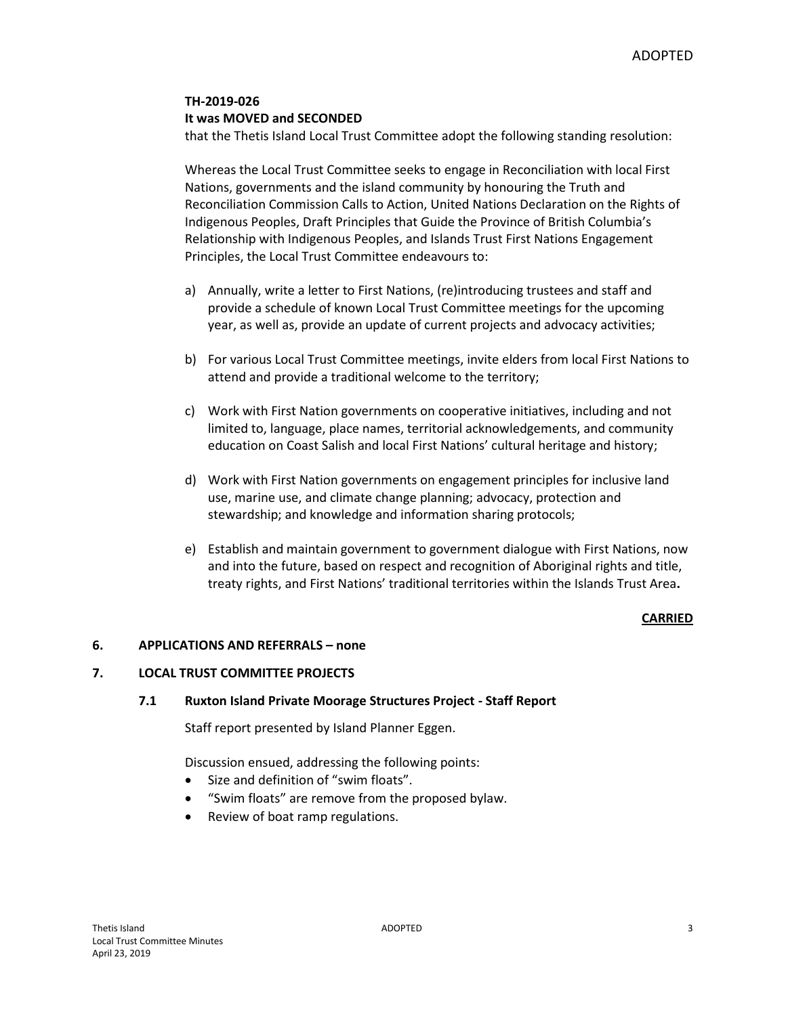## **TH-2019-026 It was MOVED and SECONDED**

that the Thetis Island Local Trust Committee adopt the following standing resolution:

Whereas the Local Trust Committee seeks to engage in Reconciliation with local First Nations, governments and the island community by honouring the Truth and Reconciliation Commission Calls to Action, United Nations Declaration on the Rights of Indigenous Peoples, Draft Principles that Guide the Province of British Columbia's Relationship with Indigenous Peoples, and Islands Trust First Nations Engagement Principles, the Local Trust Committee endeavours to:

- a) Annually, write a letter to First Nations, (re)introducing trustees and staff and provide a schedule of known Local Trust Committee meetings for the upcoming year, as well as, provide an update of current projects and advocacy activities;
- b) For various Local Trust Committee meetings, invite elders from local First Nations to attend and provide a traditional welcome to the territory;
- c) Work with First Nation governments on cooperative initiatives, including and not limited to, language, place names, territorial acknowledgements, and community education on Coast Salish and local First Nations' cultural heritage and history;
- d) Work with First Nation governments on engagement principles for inclusive land use, marine use, and climate change planning; advocacy, protection and stewardship; and knowledge and information sharing protocols;
- e) Establish and maintain government to government dialogue with First Nations, now and into the future, based on respect and recognition of Aboriginal rights and title, treaty rights, and First Nations' traditional territories within the Islands Trust Area**.**

## **CARRIED**

## **6. APPLICATIONS AND REFERRALS – none**

## **7. LOCAL TRUST COMMITTEE PROJECTS**

## **7.1 Ruxton Island Private Moorage Structures Project - Staff Report**

Staff report presented by Island Planner Eggen.

Discussion ensued, addressing the following points:

- Size and definition of "swim floats".
- "Swim floats" are remove from the proposed bylaw.
- Review of boat ramp regulations.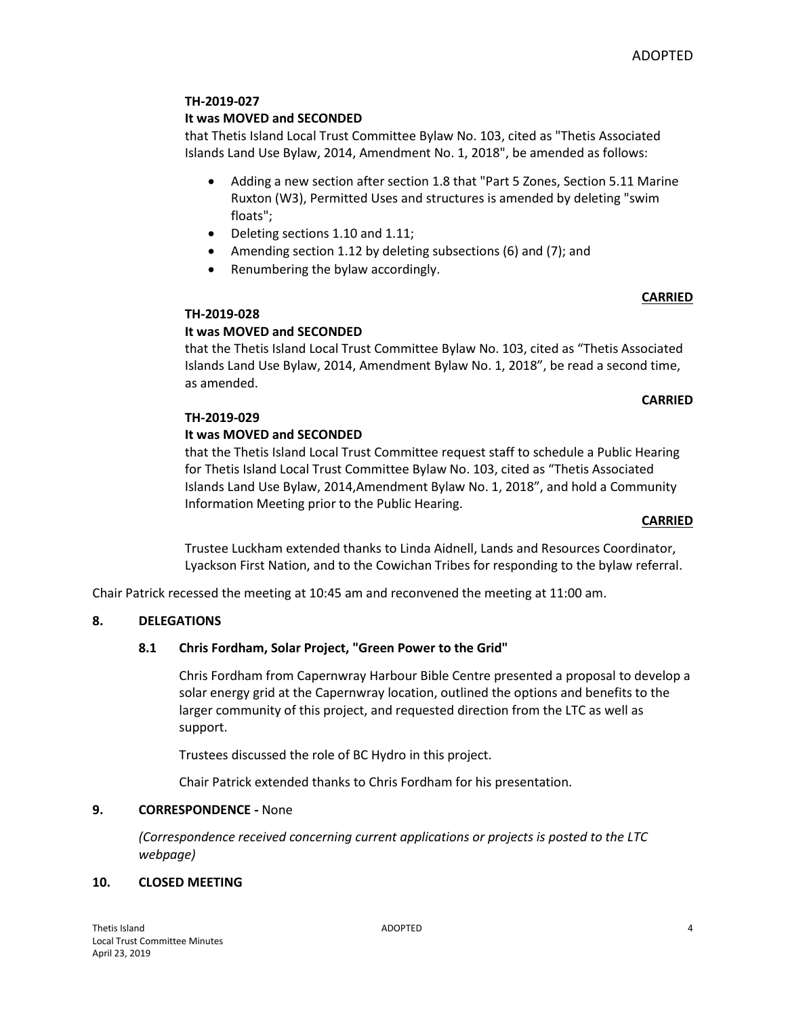## **TH-2019-027**

## **It was MOVED and SECONDED**

that Thetis Island Local Trust Committee Bylaw No. 103, cited as "Thetis Associated Islands Land Use Bylaw, 2014, Amendment No. 1, 2018", be amended as follows:

- Adding a new section after section 1.8 that "Part 5 Zones, Section 5.11 Marine Ruxton (W3), Permitted Uses and structures is amended by deleting "swim floats";
- Deleting sections 1.10 and 1.11;
- Amending section 1.12 by deleting subsections (6) and (7); and
- Renumbering the bylaw accordingly.

## **CARRIED**

## **TH-2019-028**

## **It was MOVED and SECONDED**

that the Thetis Island Local Trust Committee Bylaw No. 103, cited as "Thetis Associated Islands Land Use Bylaw, 2014, Amendment Bylaw No. 1, 2018", be read a second time, as amended.

## **CARRIED**

## **TH-2019-029**

## **It was MOVED and SECONDED**

that the Thetis Island Local Trust Committee request staff to schedule a Public Hearing for Thetis Island Local Trust Committee Bylaw No. 103, cited as "Thetis Associated Islands Land Use Bylaw, 2014,Amendment Bylaw No. 1, 2018", and hold a Community Information Meeting prior to the Public Hearing.

## **CARRIED**

Trustee Luckham extended thanks to Linda Aidnell, Lands and Resources Coordinator, Lyackson First Nation, and to the Cowichan Tribes for responding to the bylaw referral.

Chair Patrick recessed the meeting at 10:45 am and reconvened the meeting at 11:00 am.

## **8. DELEGATIONS**

## **8.1 Chris Fordham, Solar Project, "Green Power to the Grid"**

Chris Fordham from Capernwray Harbour Bible Centre presented a proposal to develop a solar energy grid at the Capernwray location, outlined the options and benefits to the larger community of this project, and requested direction from the LTC as well as support.

Trustees discussed the role of BC Hydro in this project.

Chair Patrick extended thanks to Chris Fordham for his presentation.

## **9. CORRESPONDENCE -** None

*(Correspondence received concerning current applications or projects is posted to the LTC webpage)*

## **10. CLOSED MEETING**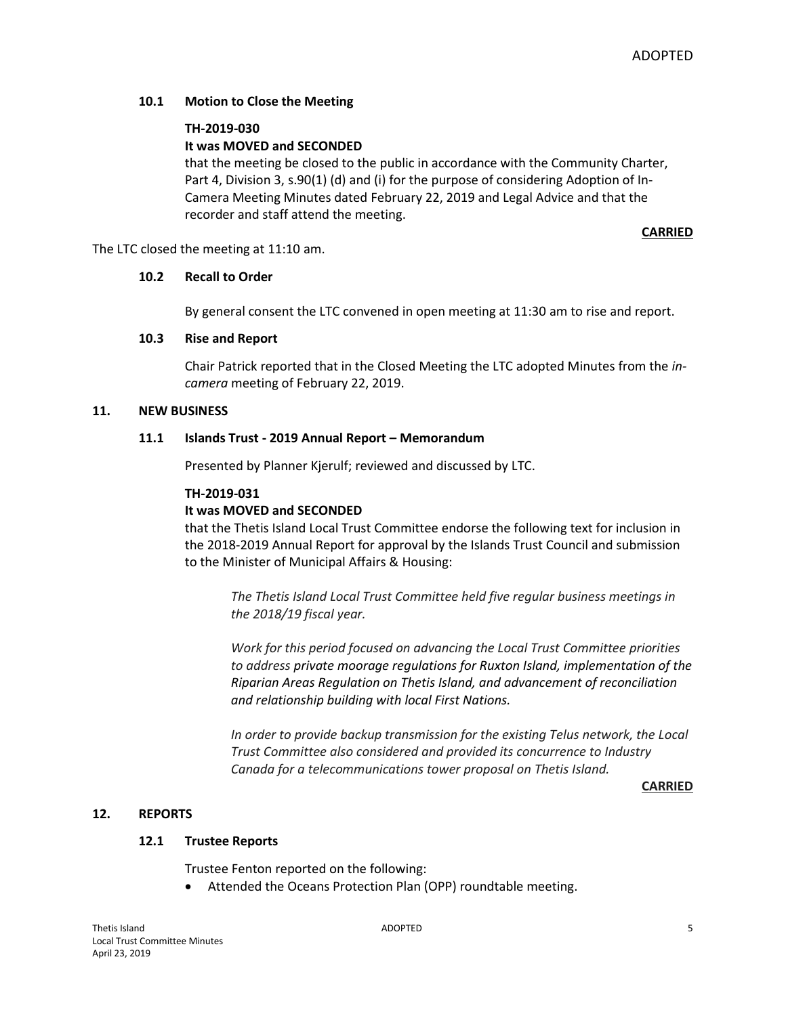## **10.1 Motion to Close the Meeting**

## **TH-2019-030**

## **It was MOVED and SECONDED**

that the meeting be closed to the public in accordance with the Community Charter, Part 4, Division 3, s.90(1) (d) and (i) for the purpose of considering Adoption of In-Camera Meeting Minutes dated February 22, 2019 and Legal Advice and that the recorder and staff attend the meeting.

**CARRIED**

The LTC closed the meeting at 11:10 am.

## **10.2 Recall to Order**

By general consent the LTC convened in open meeting at 11:30 am to rise and report.

#### **10.3 Rise and Report**

Chair Patrick reported that in the Closed Meeting the LTC adopted Minutes from the *incamera* meeting of February 22, 2019.

#### **11. NEW BUSINESS**

#### **11.1 Islands Trust - 2019 Annual Report – Memorandum**

Presented by Planner Kjerulf; reviewed and discussed by LTC.

#### **TH-2019-031**

## **It was MOVED and SECONDED**

that the Thetis Island Local Trust Committee endorse the following text for inclusion in the 2018-2019 Annual Report for approval by the Islands Trust Council and submission to the Minister of Municipal Affairs & Housing:

*The Thetis Island Local Trust Committee held five regular business meetings in the 2018/19 fiscal year.*

*Work for this period focused on advancing the Local Trust Committee priorities to address private moorage regulations for Ruxton Island, implementation of the Riparian Areas Regulation on Thetis Island, and advancement of reconciliation and relationship building with local First Nations.*

*In order to provide backup transmission for the existing Telus network, the Local Trust Committee also considered and provided its concurrence to Industry Canada for a telecommunications tower proposal on Thetis Island.*

#### **CARRIED**

## **12. REPORTS**

## **12.1 Trustee Reports**

Trustee Fenton reported on the following:

Attended the Oceans Protection Plan (OPP) roundtable meeting.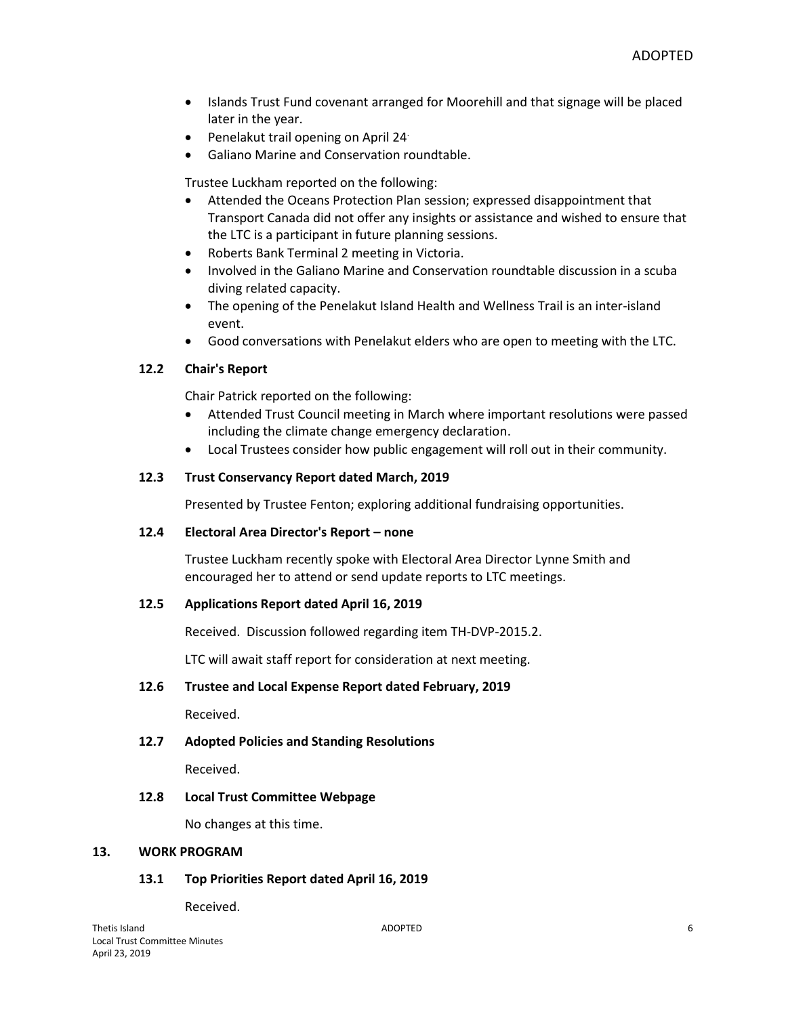- Islands Trust Fund covenant arranged for Moorehill and that signage will be placed later in the year.
- Penelakut trail opening on April 24.
- Galiano Marine and Conservation roundtable.

Trustee Luckham reported on the following:

- Attended the Oceans Protection Plan session; expressed disappointment that Transport Canada did not offer any insights or assistance and wished to ensure that the LTC is a participant in future planning sessions.
- Roberts Bank Terminal 2 meeting in Victoria.
- Involved in the Galiano Marine and Conservation roundtable discussion in a scuba diving related capacity.
- The opening of the Penelakut Island Health and Wellness Trail is an inter-island event.
- Good conversations with Penelakut elders who are open to meeting with the LTC.

## **12.2 Chair's Report**

Chair Patrick reported on the following:

- Attended Trust Council meeting in March where important resolutions were passed including the climate change emergency declaration.
- Local Trustees consider how public engagement will roll out in their community.

## **12.3 Trust Conservancy Report dated March, 2019**

Presented by Trustee Fenton; exploring additional fundraising opportunities.

## **12.4 Electoral Area Director's Report – none**

Trustee Luckham recently spoke with Electoral Area Director Lynne Smith and encouraged her to attend or send update reports to LTC meetings.

## **12.5 Applications Report dated April 16, 2019**

Received. Discussion followed regarding item TH-DVP-2015.2.

LTC will await staff report for consideration at next meeting.

## **12.6 Trustee and Local Expense Report dated February, 2019**

Received.

## **12.7 Adopted Policies and Standing Resolutions**

Received.

## **12.8 Local Trust Committee Webpage**

No changes at this time.

#### **13. WORK PROGRAM**

## **13.1 Top Priorities Report dated April 16, 2019**

Received.